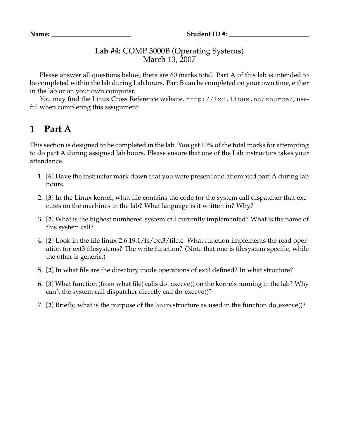## **Lab #4:** COMP 3000B (Operating Systems) March 13, 2007

Please answer all questions below, there are 60 marks total. Part A of this lab is intended to be completed within the lab during Lab hours. Part B can be completed on your own time, either in the lab or on your own computer.

You may find the Linux Cross Reference website, http://lxr.linux.no/source/, useful when completing this assignment.

## **1 Part A**

This section is designed to be completed in the lab. You get 10% of the total marks for attempting to do part A during assigned lab hours. Please ensure that one of the Lab instructors takes your attendance.

- 1. **[6]** Have the instructor mark down that you were present and attempted part A during lab hours.
- 2. **[3]** In the Linux kernel, what file contains the code for the system call dispatcher that executes on the machines in the lab? What language is it written in? Why?
- 3. **[2]** What is the highest numbered system call currently implemented? What is the name of this system call?
- 4. **[2]** Look in the file linux-2.6.19.1/fs/ext3/file.c. What function implements the read operation for ext3 filesystems? The write function? (Note that one is filesystem specific, while the other is generic.)
- 5. **[2]** In what file are the directory inode operations of ext3 defined? In what structure?
- 6. [3] What function (from what file) calls do<sub>-</sub> execve() on the kernels running in the lab? Why can't the system call dispatcher directly call do execve()?
- 7. **[2]** Briefly, what is the purpose of the bprm structure as used in the function do execve()?